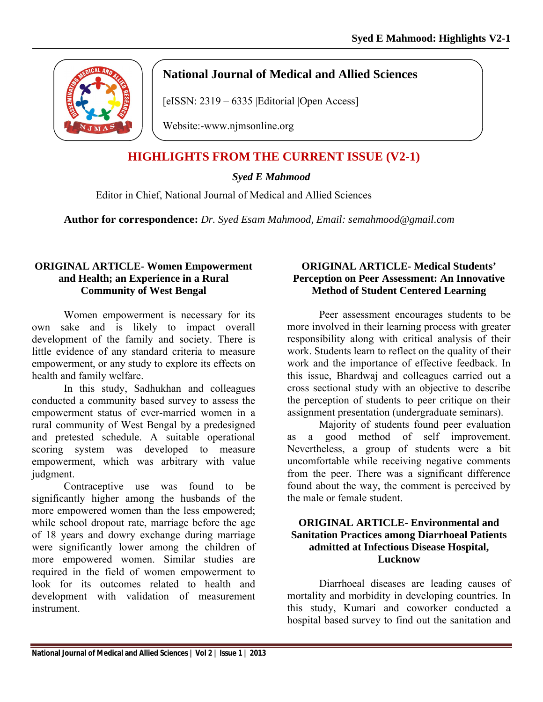

# **National Journal of Medical and Allied Sciences**

[eISSN: 2319 – 6335 | Editorial | Open Access]

Website:-www.njmsonline.org

# **HIGHLIGHTS FROM THE CURRENT ISSUE (V2-1)**

## *Syed E Mahmood*

Editor in Chief, National Journal of Medical and Allied Sciences

**Author for correspondence:** *Dr. Syed Esam Mahmood, Email: semahmood@gmail.com*

#### **ORIGINAL ARTICLE- Women Empowerment and Health; an Experience in a Rural Community of West Bengal**

Women empowerment is necessary for its own sake and is likely to impact overall development of the family and society. There is little evidence of any standard criteria to measure empowerment, or any study to explore its effects on health and family welfare.

In this study, Sadhukhan and colleagues conducted a community based survey to assess the empowerment status of ever-married women in a rural community of West Bengal by a predesigned and pretested schedule. A suitable operational scoring system was developed to measure empowerment, which was arbitrary with value judgment.

Contraceptive use was found to be significantly higher among the husbands of the more empowered women than the less empowered; while school dropout rate, marriage before the age of 18 years and dowry exchange during marriage were significantly lower among the children of more empowered women. Similar studies are required in the field of women empowerment to look for its outcomes related to health and development with validation of measurement instrument.

#### **ORIGINAL ARTICLE- Medical Students' Perception on Peer Assessment: An Innovative Method of Student Centered Learning**

Peer assessment encourages students to be more involved in their learning process with greater responsibility along with critical analysis of their work. Students learn to reflect on the quality of their work and the importance of effective feedback. In this issue, Bhardwaj and colleagues carried out a cross sectional study with an objective to describe the perception of students to peer critique on their assignment presentation (undergraduate seminars).

Majority of students found peer evaluation as a good method of self improvement. Nevertheless, a group of students were a bit uncomfortable while receiving negative comments from the peer. There was a significant difference found about the way, the comment is perceived by the male or female student.

#### **ORIGINAL ARTICLE- Environmental and Sanitation Practices among Diarrhoeal Patients admitted at Infectious Disease Hospital, Lucknow**

Diarrhoeal diseases are leading causes of mortality and morbidity in developing countries. In this study, Kumari and coworker conducted a hospital based survey to find out the sanitation and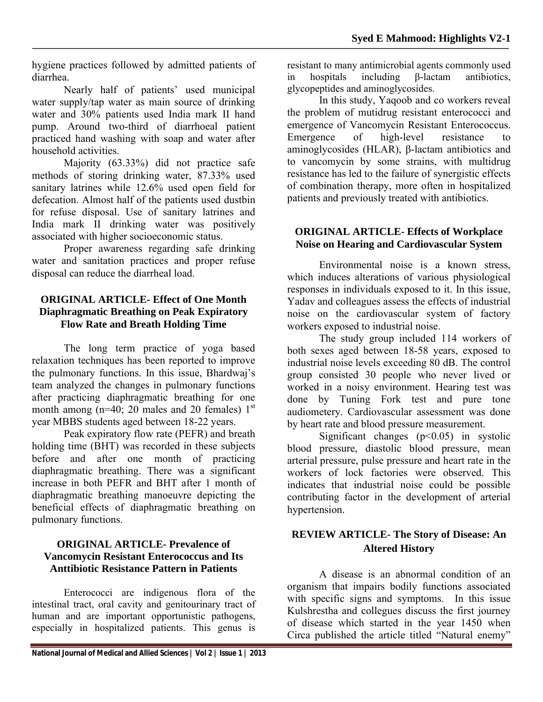hygiene practices followed by admitted patients of diarrhea.

Nearly half of patients' used municipal water supply/tap water as main source of drinking water and 30% patients used India mark II hand pump. Around two-third of diarrhoeal patient practiced hand washing with soap and water after household activities.

Majority (63.33%) did not practice safe methods of storing drinking water, 87.33% used sanitary latrines while 12.6% used open field for defecation. Almost half of the patients used dustbin for refuse disposal. Use of sanitary latrines and India mark II drinking water was positively associated with higher socioeconomic status.

Proper awareness regarding safe drinking water and sanitation practices and proper refuse disposal can reduce the diarrheal load.

## **ORIGINAL ARTICLE- Effect of One Month Diaphragmatic Breathing on Peak Expiratory Flow Rate and Breath Holding Time**

The long term practice of yoga based relaxation techniques has been reported to improve the pulmonary functions. In this issue, Bhardwaj's team analyzed the changes in pulmonary functions after practicing diaphragmatic breathing for one month among  $(n=40; 20$  males and 20 females)  $1<sup>st</sup>$ year MBBS students aged between 18-22 years.

Peak expiratory flow rate (PEFR) and breath holding time (BHT) was recorded in these subjects before and after one month of practicing diaphragmatic breathing. There was a significant increase in both PEFR and BHT after 1 month of diaphragmatic breathing manoeuvre depicting the beneficial effects of diaphragmatic breathing on pulmonary functions.

## **ORIGINAL ARTICLE- Prevalence of Vancomycin Resistant Enterococcus and Its Anttibiotic Resistance Pattern in Patients**

Enterococci are indigenous flora of the intestinal tract, oral cavity and genitourinary tract of human and are important opportunistic pathogens, especially in hospitalized patients. This genus is

**National Journal of Medical and Allied Sciences | Vol 2 | Issue 1 | 2013** 

resistant to many antimicrobial agents commonly used in hospitals including β-lactam antibiotics, glycopeptides and aminoglycosides.

In this study, Yaqoob and co workers reveal the problem of mutidrug resistant enterococci and emergence of Vancomycin Resistant Enterococcus. Emergence of high-level resistance to aminoglycosides (HLAR), β-lactam antibiotics and to vancomycin by some strains, with multidrug resistance has led to the failure of synergistic effects of combination therapy, more often in hospitalized patients and previously treated with antibiotics.

## **ORIGINAL ARTICLE- Effects of Workplace Noise on Hearing and Cardiovascular System**

Environmental noise is a known stress, which induces alterations of various physiological responses in individuals exposed to it. In this issue, Yadav and colleagues assess the effects of industrial noise on the cardiovascular system of factory workers exposed to industrial noise.

The study group included 114 workers of both sexes aged between 18-58 years, exposed to industrial noise levels exceeding 80 dB. The control group consisted 30 people who never lived or worked in a noisy environment. Hearing test was done by Tuning Fork test and pure tone audiometery. Cardiovascular assessment was done by heart rate and blood pressure measurement.

Significant changes  $(p<0.05)$  in systolic blood pressure, diastolic blood pressure, mean arterial pressure, pulse pressure and heart rate in the workers of lock factories were observed. This indicates that industrial noise could be possible contributing factor in the development of arterial hypertension.

## **REVIEW ARTICLE- The Story of Disease: An Altered History**

A disease is an abnormal condition of an organism that impairs bodily functions associated with specific signs and symptoms. In this issue Kulshrestha and collegues discuss the first journey of disease which started in the year 1450 when Circa published the article titled "Natural enemy"